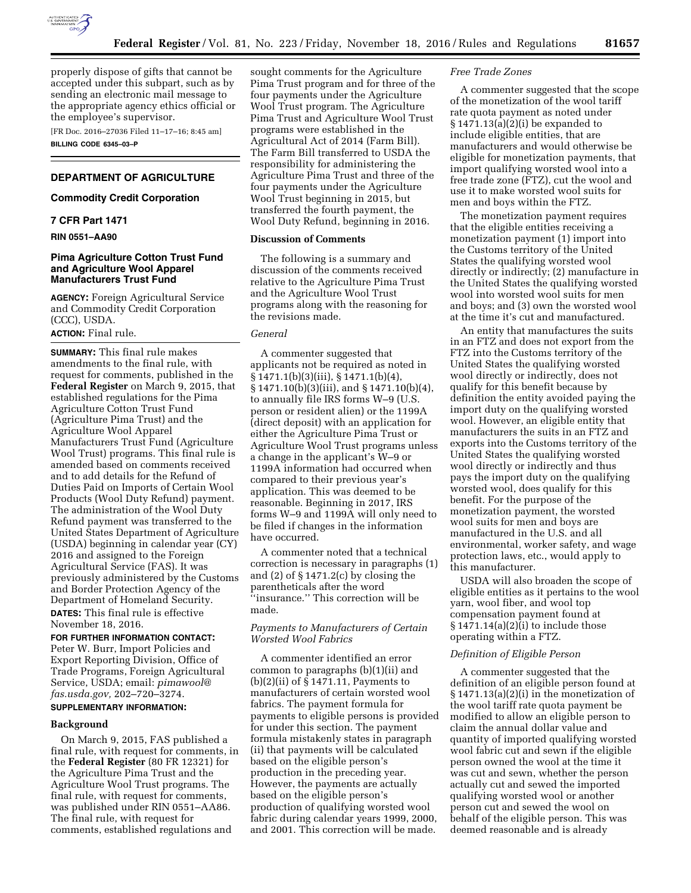

properly dispose of gifts that cannot be accepted under this subpart, such as by sending an electronic mail message to the appropriate agency ethics official or the employee's supervisor.

[FR Doc. 2016–27036 Filed 11–17–16; 8:45 am] **BILLING CODE 6345–03–P** 

# **DEPARTMENT OF AGRICULTURE**

# **Commodity Credit Corporation**

#### **7 CFR Part 1471**

**RIN 0551–AA90** 

# **Pima Agriculture Cotton Trust Fund and Agriculture Wool Apparel Manufacturers Trust Fund**

**AGENCY:** Foreign Agricultural Service and Commodity Credit Corporation (CCC), USDA. **ACTION:** Final rule.

**SUMMARY:** This final rule makes amendments to the final rule, with request for comments, published in the **Federal Register** on March 9, 2015, that established regulations for the Pima Agriculture Cotton Trust Fund (Agriculture Pima Trust) and the Agriculture Wool Apparel Manufacturers Trust Fund (Agriculture Wool Trust) programs. This final rule is amended based on comments received and to add details for the Refund of Duties Paid on Imports of Certain Wool Products (Wool Duty Refund) payment. The administration of the Wool Duty Refund payment was transferred to the United States Department of Agriculture (USDA) beginning in calendar year (CY) 2016 and assigned to the Foreign Agricultural Service (FAS). It was previously administered by the Customs and Border Protection Agency of the Department of Homeland Security. **DATES:** This final rule is effective November 18, 2016.

**FOR FURTHER INFORMATION CONTACT:**  Peter W. Burr, Import Policies and Export Reporting Division, Office of Trade Programs, Foreign Agricultural Service, USDA; email: *[pimawool@](mailto:pimawool@fas.usda.gov) [fas.usda.gov,](mailto:pimawool@fas.usda.gov)* 202–720–3274.

# **SUPPLEMENTARY INFORMATION:**

# **Background**

On March 9, 2015, FAS published a final rule, with request for comments, in the **Federal Register** (80 FR 12321) for the Agriculture Pima Trust and the Agriculture Wool Trust programs. The final rule, with request for comments, was published under RIN 0551–AA86. The final rule, with request for comments, established regulations and

sought comments for the Agriculture Pima Trust program and for three of the four payments under the Agriculture Wool Trust program. The Agriculture Pima Trust and Agriculture Wool Trust programs were established in the Agricultural Act of 2014 (Farm Bill). The Farm Bill transferred to USDA the responsibility for administering the Agriculture Pima Trust and three of the four payments under the Agriculture Wool Trust beginning in 2015, but transferred the fourth payment, the Wool Duty Refund, beginning in 2016.

# **Discussion of Comments**

The following is a summary and discussion of the comments received relative to the Agriculture Pima Trust and the Agriculture Wool Trust programs along with the reasoning for the revisions made.

#### *General*

A commenter suggested that applicants not be required as noted in § 1471.1(b)(3)(iii), § 1471.1(b)(4), § 1471.10(b)(3)(iii), and § 1471.10(b)(4), to annually file IRS forms W–9 (U.S. person or resident alien) or the 1199A (direct deposit) with an application for either the Agriculture Pima Trust or Agriculture Wool Trust programs unless a change in the applicant's W–9 or 1199A information had occurred when compared to their previous year's application. This was deemed to be reasonable. Beginning in 2017, IRS forms W–9 and 1199A will only need to be filed if changes in the information have occurred.

A commenter noted that a technical correction is necessary in paragraphs (1) and (2) of § 1471.2(c) by closing the parentheticals after the word ''insurance.'' This correction will be made.

# *Payments to Manufacturers of Certain Worsted Wool Fabrics*

A commenter identified an error common to paragraphs (b)(1)(ii) and (b)(2)(ii) of § 1471.11, Payments to manufacturers of certain worsted wool fabrics. The payment formula for payments to eligible persons is provided for under this section. The payment formula mistakenly states in paragraph (ii) that payments will be calculated based on the eligible person's production in the preceding year. However, the payments are actually based on the eligible person's production of qualifying worsted wool fabric during calendar years 1999, 2000, and 2001. This correction will be made.

#### *Free Trade Zones*

A commenter suggested that the scope of the monetization of the wool tariff rate quota payment as noted under § 1471.13(a)(2)(i) be expanded to include eligible entities, that are manufacturers and would otherwise be eligible for monetization payments, that import qualifying worsted wool into a free trade zone (FTZ), cut the wool and use it to make worsted wool suits for men and boys within the FTZ.

The monetization payment requires that the eligible entities receiving a monetization payment (1) import into the Customs territory of the United States the qualifying worsted wool directly or indirectly; (2) manufacture in the United States the qualifying worsted wool into worsted wool suits for men and boys; and (3) own the worsted wool at the time it's cut and manufactured.

An entity that manufactures the suits in an FTZ and does not export from the FTZ into the Customs territory of the United States the qualifying worsted wool directly or indirectly, does not qualify for this benefit because by definition the entity avoided paying the import duty on the qualifying worsted wool. However, an eligible entity that manufacturers the suits in an FTZ and exports into the Customs territory of the United States the qualifying worsted wool directly or indirectly and thus pays the import duty on the qualifying worsted wool, does qualify for this benefit. For the purpose of the monetization payment, the worsted wool suits for men and boys are manufactured in the U.S. and all environmental, worker safety, and wage protection laws, etc., would apply to this manufacturer.

USDA will also broaden the scope of eligible entities as it pertains to the wool yarn, wool fiber, and wool top compensation payment found at § 1471.14(a)(2)(i) to include those operating within a FTZ.

# *Definition of Eligible Person*

A commenter suggested that the definition of an eligible person found at § 1471.13(a)(2)(i) in the monetization of the wool tariff rate quota payment be modified to allow an eligible person to claim the annual dollar value and quantity of imported qualifying worsted wool fabric cut and sewn if the eligible person owned the wool at the time it was cut and sewn, whether the person actually cut and sewed the imported qualifying worsted wool or another person cut and sewed the wool on behalf of the eligible person. This was deemed reasonable and is already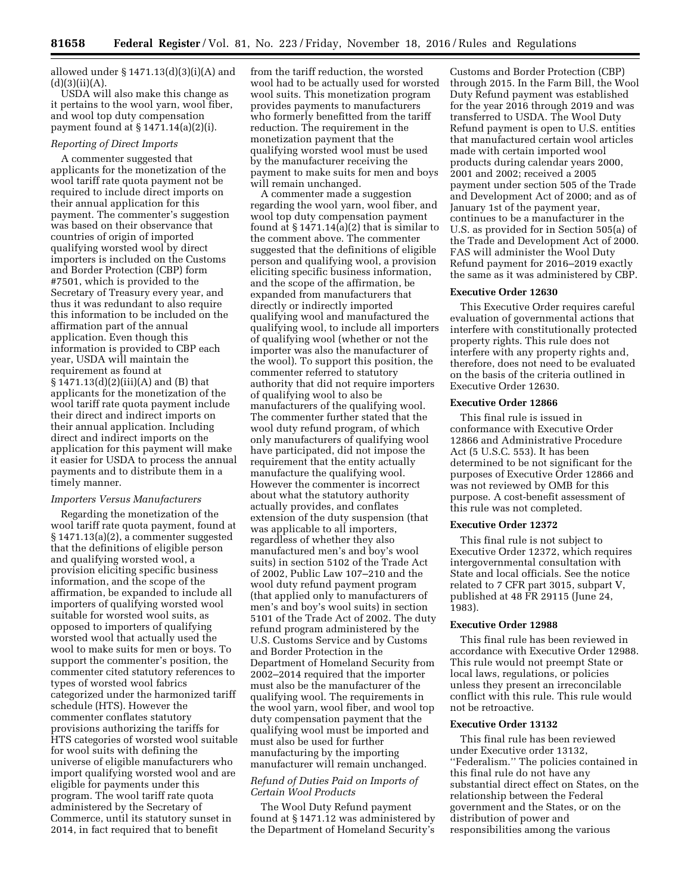allowed under § 1471.13(d)(3)(i)(A) and  $(d)(3)(ii)(A).$ 

USDA will also make this change as it pertains to the wool yarn, wool fiber, and wool top duty compensation payment found at § 1471.14(a)(2)(i).

#### *Reporting of Direct Imports*

A commenter suggested that applicants for the monetization of the wool tariff rate quota payment not be required to include direct imports on their annual application for this payment. The commenter's suggestion was based on their observance that countries of origin of imported qualifying worsted wool by direct importers is included on the Customs and Border Protection (CBP) form #7501, which is provided to the Secretary of Treasury every year, and thus it was redundant to also require this information to be included on the affirmation part of the annual application. Even though this information is provided to CBP each year, USDA will maintain the requirement as found at § 1471.13(d)(2)(iii)(A) and (B) that applicants for the monetization of the wool tariff rate quota payment include their direct and indirect imports on their annual application. Including direct and indirect imports on the application for this payment will make it easier for USDA to process the annual payments and to distribute them in a timely manner.

# *Importers Versus Manufacturers*

Regarding the monetization of the wool tariff rate quota payment, found at § 1471.13(a)(2), a commenter suggested that the definitions of eligible person and qualifying worsted wool, a provision eliciting specific business information, and the scope of the affirmation, be expanded to include all importers of qualifying worsted wool suitable for worsted wool suits, as opposed to importers of qualifying worsted wool that actually used the wool to make suits for men or boys. To support the commenter's position, the commenter cited statutory references to types of worsted wool fabrics categorized under the harmonized tariff schedule (HTS). However the commenter conflates statutory provisions authorizing the tariffs for HTS categories of worsted wool suitable for wool suits with defining the universe of eligible manufacturers who import qualifying worsted wool and are eligible for payments under this program. The wool tariff rate quota administered by the Secretary of Commerce, until its statutory sunset in 2014, in fact required that to benefit

from the tariff reduction, the worsted wool had to be actually used for worsted wool suits. This monetization program provides payments to manufacturers who formerly benefitted from the tariff reduction. The requirement in the monetization payment that the qualifying worsted wool must be used by the manufacturer receiving the payment to make suits for men and boys will remain unchanged.

A commenter made a suggestion regarding the wool yarn, wool fiber, and wool top duty compensation payment found at  $\S 1471.14(a)(2)$  that is similar to the comment above. The commenter suggested that the definitions of eligible person and qualifying wool, a provision eliciting specific business information, and the scope of the affirmation, be expanded from manufacturers that directly or indirectly imported qualifying wool and manufactured the qualifying wool, to include all importers of qualifying wool (whether or not the importer was also the manufacturer of the wool). To support this position, the commenter referred to statutory authority that did not require importers of qualifying wool to also be manufacturers of the qualifying wool. The commenter further stated that the wool duty refund program, of which only manufacturers of qualifying wool have participated, did not impose the requirement that the entity actually manufacture the qualifying wool. However the commenter is incorrect about what the statutory authority actually provides, and conflates extension of the duty suspension (that was applicable to all importers, regardless of whether they also manufactured men's and boy's wool suits) in section 5102 of the Trade Act of 2002, Public Law 107–210 and the wool duty refund payment program (that applied only to manufacturers of men's and boy's wool suits) in section 5101 of the Trade Act of 2002. The duty refund program administered by the U.S. Customs Service and by Customs and Border Protection in the Department of Homeland Security from 2002–2014 required that the importer must also be the manufacturer of the qualifying wool. The requirements in the wool yarn, wool fiber, and wool top duty compensation payment that the qualifying wool must be imported and must also be used for further manufacturing by the importing manufacturer will remain unchanged.

# *Refund of Duties Paid on Imports of Certain Wool Products*

The Wool Duty Refund payment found at § 1471.12 was administered by the Department of Homeland Security's

Customs and Border Protection (CBP) through 2015. In the Farm Bill, the Wool Duty Refund payment was established for the year 2016 through 2019 and was transferred to USDA. The Wool Duty Refund payment is open to U.S. entities that manufactured certain wool articles made with certain imported wool products during calendar years 2000, 2001 and 2002; received a 2005 payment under section 505 of the Trade and Development Act of 2000; and as of January 1st of the payment year, continues to be a manufacturer in the U.S. as provided for in Section 505(a) of the Trade and Development Act of 2000. FAS will administer the Wool Duty Refund payment for 2016–2019 exactly the same as it was administered by CBP.

#### **Executive Order 12630**

This Executive Order requires careful evaluation of governmental actions that interfere with constitutionally protected property rights. This rule does not interfere with any property rights and, therefore, does not need to be evaluated on the basis of the criteria outlined in Executive Order 12630.

# **Executive Order 12866**

This final rule is issued in conformance with Executive Order 12866 and Administrative Procedure Act (5 U.S.C. 553). It has been determined to be not significant for the purposes of Executive Order 12866 and was not reviewed by OMB for this purpose. A cost-benefit assessment of this rule was not completed.

#### **Executive Order 12372**

This final rule is not subject to Executive Order 12372, which requires intergovernmental consultation with State and local officials. See the notice related to 7 CFR part 3015, subpart V, published at 48 FR 29115 (June 24, 1983).

# **Executive Order 12988**

This final rule has been reviewed in accordance with Executive Order 12988. This rule would not preempt State or local laws, regulations, or policies unless they present an irreconcilable conflict with this rule. This rule would not be retroactive.

# **Executive Order 13132**

This final rule has been reviewed under Executive order 13132, ''Federalism.'' The policies contained in this final rule do not have any substantial direct effect on States, on the relationship between the Federal government and the States, or on the distribution of power and responsibilities among the various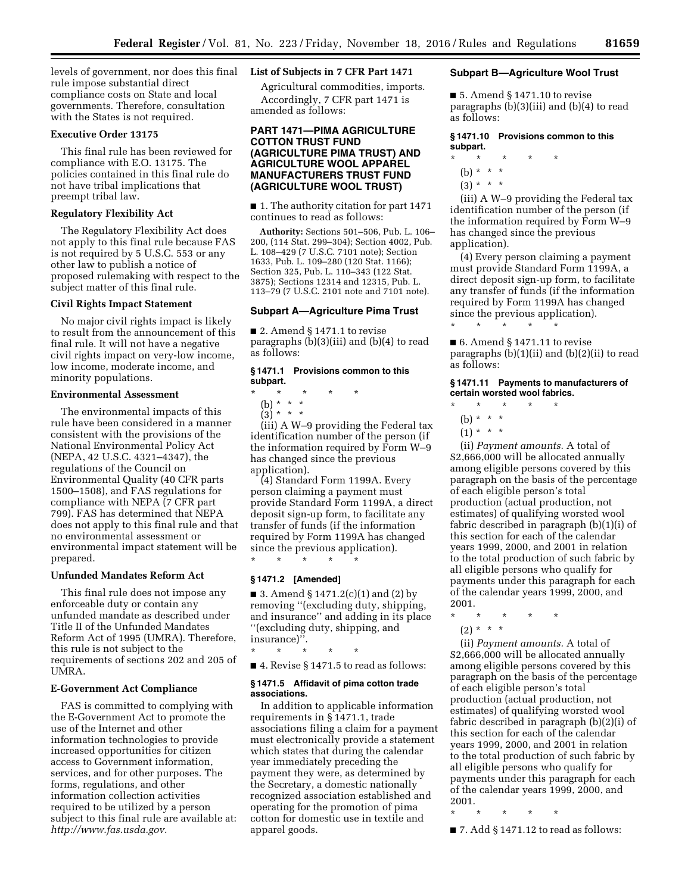levels of government, nor does this final **List of Subjects in 7 CFR Part 1471**  rule impose substantial direct compliance costs on State and local governments. Therefore, consultation with the States is not required.

# **Executive Order 13175**

This final rule has been reviewed for compliance with E.O. 13175. The policies contained in this final rule do not have tribal implications that preempt tribal law.

#### **Regulatory Flexibility Act**

The Regulatory Flexibility Act does not apply to this final rule because FAS is not required by 5 U.S.C. 553 or any other law to publish a notice of proposed rulemaking with respect to the subject matter of this final rule.

# **Civil Rights Impact Statement**

No major civil rights impact is likely to result from the announcement of this final rule. It will not have a negative civil rights impact on very-low income, low income, moderate income, and minority populations.

#### **Environmental Assessment**

The environmental impacts of this rule have been considered in a manner consistent with the provisions of the National Environmental Policy Act (NEPA, 42 U.S.C. 4321–4347), the regulations of the Council on Environmental Quality (40 CFR parts 1500–1508), and FAS regulations for compliance with NEPA (7 CFR part 799). FAS has determined that NEPA does not apply to this final rule and that no environmental assessment or environmental impact statement will be prepared.

#### **Unfunded Mandates Reform Act**

This final rule does not impose any enforceable duty or contain any unfunded mandate as described under Title II of the Unfunded Mandates Reform Act of 1995 (UMRA). Therefore, this rule is not subject to the requirements of sections 202 and 205 of UMRA.

# **E-Government Act Compliance**

FAS is committed to complying with the E-Government Act to promote the use of the Internet and other information technologies to provide increased opportunities for citizen access to Government information, services, and for other purposes. The forms, regulations, and other information collection activities required to be utilized by a person subject to this final rule are available at: *[http://www.fas.usda.gov.](http://www.fas.usda.gov)* 

Agricultural commodities, imports. Accordingly, 7 CFR part 1471 is amended as follows:

# **PART 1471—PIMA AGRICULTURE COTTON TRUST FUND (AGRICULTURE PIMA TRUST) AND AGRICULTURE WOOL APPAREL MANUFACTURERS TRUST FUND (AGRICULTURE WOOL TRUST)**

■ 1. The authority citation for part 1471 continues to read as follows:

**Authority:** Sections 501–506, Pub. L. 106– 200, (114 Stat. 299–304); Section 4002, Pub. L. 108–429 (7 U.S.C. 7101 note); Section 1633, Pub. L. 109–280 (120 Stat. 1166); Section 325, Pub. L. 110–343 (122 Stat. 3875); Sections 12314 and 12315, Pub. L. 113–79 (7 U.S.C. 2101 note and 7101 note).

#### **Subpart A—Agriculture Pima Trust**

■ 2. Amend § 1471.1 to revise paragraphs (b)(3)(iii) and (b)(4) to read as follows:

#### **§ 1471.1 Provisions common to this subpart.**

- \* \* \* \* \*
	- (b) \* \* \*
	- $(3)^*$  \* \*

(iii) A W–9 providing the Federal tax identification number of the person (if the information required by Form W–9 has changed since the previous application).

(4) Standard Form 1199A. Every person claiming a payment must provide Standard Form 1199A, a direct deposit sign-up form, to facilitate any transfer of funds (if the information required by Form 1199A has changed since the previous application). \* \* \* \* \*

#### **§ 1471.2 [Amended]**

■ 3. Amend § 1471.2(c)(1) and (2) by removing ''(excluding duty, shipping, and insurance'' and adding in its place ''(excluding duty, shipping, and insurance)''.

\* \* \* \* \*

# ■ 4. Revise § 1471.5 to read as follows:

# **§ 1471.5 Affidavit of pima cotton trade associations.**

In addition to applicable information requirements in § 1471.1, trade associations filing a claim for a payment must electronically provide a statement which states that during the calendar year immediately preceding the payment they were, as determined by the Secretary, a domestic nationally recognized association established and operating for the promotion of pima cotton for domestic use in textile and apparel goods.

### **Subpart B—Agriculture Wool Trust**

 $\blacksquare$  5. Amend § 1471.10 to revise paragraphs (b)(3)(iii) and (b)(4) to read as follows:

#### **§ 1471.10 Provisions common to this subpart.**

- \* \* \* \* \*
	- (b) \* \* \*
	- $(3) * * * *$

(iii) A W–9 providing the Federal tax identification number of the person (if the information required by Form W–9 has changed since the previous application).

(4) Every person claiming a payment must provide Standard Form 1199A, a direct deposit sign-up form, to facilitate any transfer of funds (if the information required by Form 1199A has changed since the previous application).

 $\blacksquare$  6. Amend § 1471.11 to revise paragraphs (b)(1)(ii) and (b)(2)(ii) to read as follows:

### **§ 1471.11 Payments to manufacturers of certain worsted wool fabrics.**

\* \* \* \* \*

\* \* \* \* \*

- (b) \* \* \*
- $(1) * * * *$

(ii) *Payment amounts.* A total of \$2,666,000 will be allocated annually among eligible persons covered by this paragraph on the basis of the percentage of each eligible person's total production (actual production, not estimates) of qualifying worsted wool fabric described in paragraph (b)(1)(i) of this section for each of the calendar years 1999, 2000, and 2001 in relation to the total production of such fabric by all eligible persons who qualify for payments under this paragraph for each of the calendar years 1999, 2000, and 2001.

\* \* \* \* \*  $(2) * * * *$ 

(ii) *Payment amounts.* A total of \$2,666,000 will be allocated annually among eligible persons covered by this paragraph on the basis of the percentage of each eligible person's total production (actual production, not estimates) of qualifying worsted wool fabric described in paragraph (b)(2)(i) of this section for each of the calendar years 1999, 2000, and 2001 in relation to the total production of such fabric by all eligible persons who qualify for payments under this paragraph for each of the calendar years 1999, 2000, and 2001.

\* \* \* \* \*